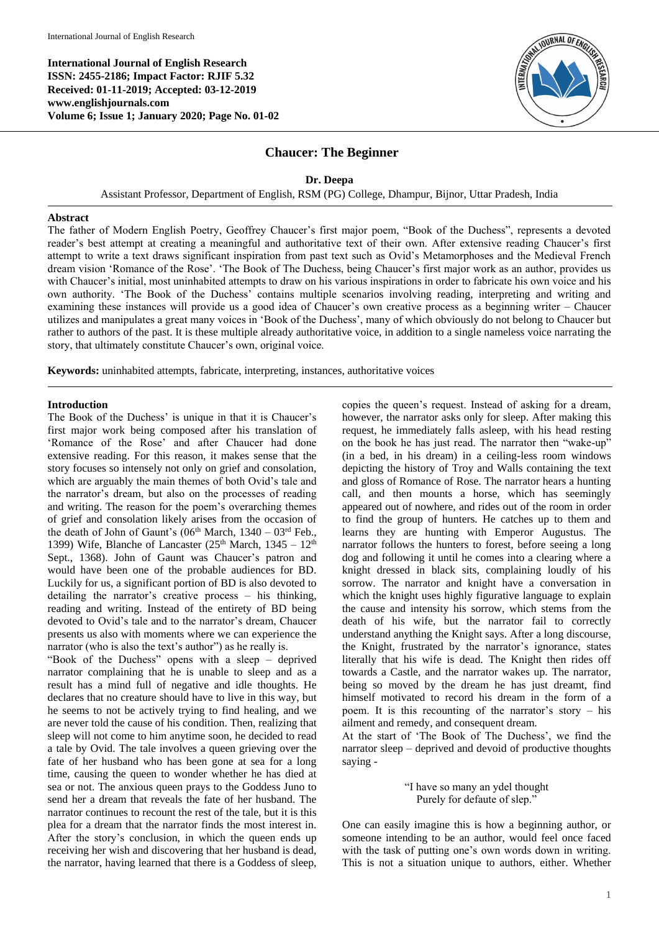**International Journal of English Research ISSN: 2455-2186; Impact Factor: RJIF 5.32 Received: 01-11-2019; Accepted: 03-12-2019 www.englishjournals.com Volume 6; Issue 1; January 2020; Page No. 01-02**



## **Chaucer: The Beginner**

**Dr. Deepa**

Assistant Professor, Department of English, RSM (PG) College, Dhampur, Bijnor, Uttar Pradesh, India

## **Abstract**

The father of Modern English Poetry, Geoffrey Chaucer's first major poem, "Book of the Duchess", represents a devoted reader's best attempt at creating a meaningful and authoritative text of their own. After extensive reading Chaucer's first attempt to write a text draws significant inspiration from past text such as Ovid's Metamorphoses and the Medieval French dream vision 'Romance of the Rose'. 'The Book of The Duchess, being Chaucer's first major work as an author, provides us with Chaucer's initial, most uninhabited attempts to draw on his various inspirations in order to fabricate his own voice and his own authority. 'The Book of the Duchess' contains multiple scenarios involving reading, interpreting and writing and examining these instances will provide us a good idea of Chaucer's own creative process as a beginning writer – Chaucer utilizes and manipulates a great many voices in 'Book of the Duchess', many of which obviously do not belong to Chaucer but rather to authors of the past. It is these multiple already authoritative voice, in addition to a single nameless voice narrating the story, that ultimately constitute Chaucer's own, original voice.

**Keywords:** uninhabited attempts, fabricate, interpreting, instances, authoritative voices

## **Introduction**

The Book of the Duchess' is unique in that it is Chaucer's first major work being composed after his translation of 'Romance of the Rose' and after Chaucer had done extensive reading. For this reason, it makes sense that the story focuses so intensely not only on grief and consolation, which are arguably the main themes of both Ovid's tale and the narrator's dream, but also on the processes of reading and writing. The reason for the poem's overarching themes of grief and consolation likely arises from the occasion of the death of John of Gaunt's ( $06<sup>th</sup> March$ ,  $1340 - 03<sup>rd</sup> Feb$ . 1399) Wife, Blanche of Lancaster ( $25<sup>th</sup>$  March,  $1345 - 12<sup>th</sup>$ Sept., 1368). John of Gaunt was Chaucer's patron and would have been one of the probable audiences for BD. Luckily for us, a significant portion of BD is also devoted to detailing the narrator's creative process – his thinking, reading and writing. Instead of the entirety of BD being devoted to Ovid's tale and to the narrator's dream, Chaucer presents us also with moments where we can experience the narrator (who is also the text's author") as he really is.

"Book of the Duchess" opens with a sleep – deprived narrator complaining that he is unable to sleep and as a result has a mind full of negative and idle thoughts. He declares that no creature should have to live in this way, but he seems to not be actively trying to find healing, and we are never told the cause of his condition. Then, realizing that sleep will not come to him anytime soon, he decided to read a tale by Ovid. The tale involves a queen grieving over the fate of her husband who has been gone at sea for a long time, causing the queen to wonder whether he has died at sea or not. The anxious queen prays to the Goddess Juno to send her a dream that reveals the fate of her husband. The narrator continues to recount the rest of the tale, but it is this plea for a dream that the narrator finds the most interest in. After the story's conclusion, in which the queen ends up receiving her wish and discovering that her husband is dead, the narrator, having learned that there is a Goddess of sleep,

copies the queen's request. Instead of asking for a dream, however, the narrator asks only for sleep. After making this request, he immediately falls asleep, with his head resting on the book he has just read. The narrator then "wake-up" (in a bed, in his dream) in a ceiling-less room windows depicting the history of Troy and Walls containing the text and gloss of Romance of Rose. The narrator hears a hunting call, and then mounts a horse, which has seemingly appeared out of nowhere, and rides out of the room in order to find the group of hunters. He catches up to them and learns they are hunting with Emperor Augustus. The narrator follows the hunters to forest, before seeing a long dog and following it until he comes into a clearing where a knight dressed in black sits, complaining loudly of his sorrow. The narrator and knight have a conversation in which the knight uses highly figurative language to explain the cause and intensity his sorrow, which stems from the death of his wife, but the narrator fail to correctly understand anything the Knight says. After a long discourse, the Knight, frustrated by the narrator's ignorance, states literally that his wife is dead. The Knight then rides off towards a Castle, and the narrator wakes up. The narrator, being so moved by the dream he has just dreamt, find himself motivated to record his dream in the form of a poem. It is this recounting of the narrator's story – his ailment and remedy, and consequent dream.

At the start of 'The Book of The Duchess', we find the narrator sleep – deprived and devoid of productive thoughts saying -

> "I have so many an ydel thought Purely for defaute of slep."

One can easily imagine this is how a beginning author, or someone intending to be an author, would feel once faced with the task of putting one's own words down in writing. This is not a situation unique to authors, either. Whether